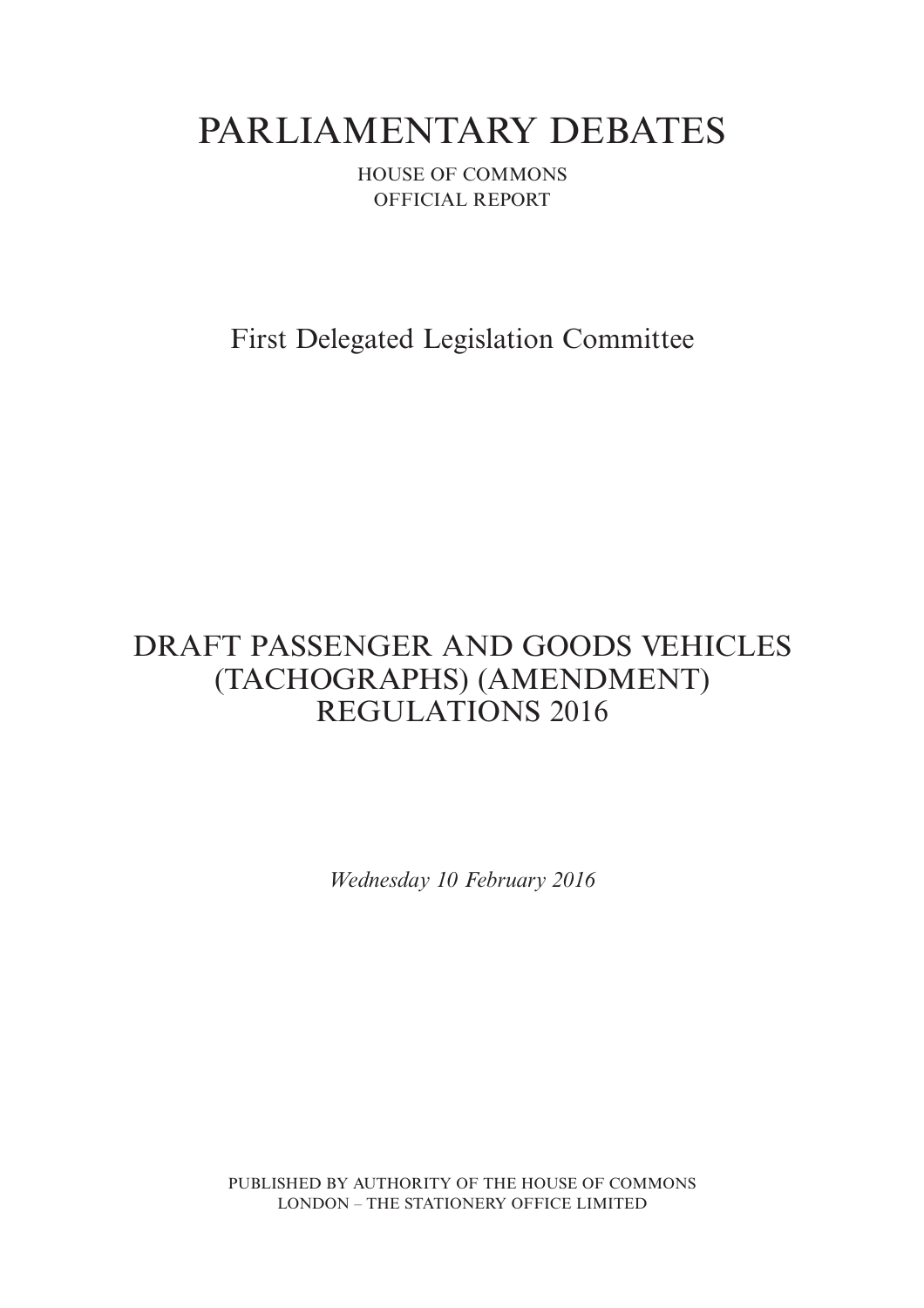# PARLIAMENTARY DEBATES

HOUSE OF COMMONS OFFICIAL REPORT

First Delegated Legislation Committee

## DRAFT PASSENGER AND GOODS VEHICLES (TACHOGRAPHS) (AMENDMENT) REGULATIONS 2016

*Wednesday 10 February 2016*

PUBLISHED BY AUTHORITY OF THE HOUSE OF COMMONS LONDON – THE STATIONERY OFFICE LIMITED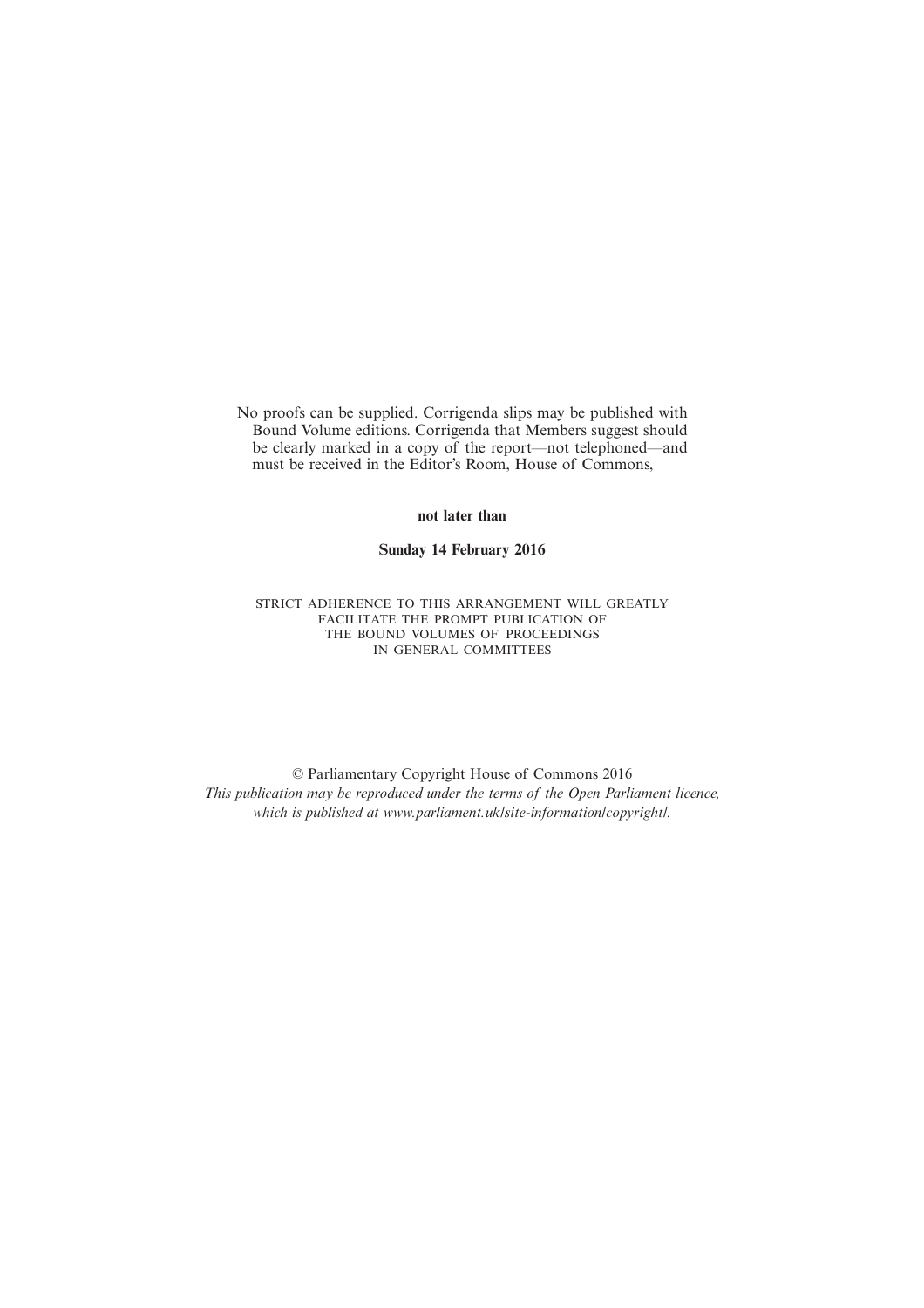No proofs can be supplied. Corrigenda slips may be published with Bound Volume editions. Corrigenda that Members suggest should be clearly marked in a copy of the report—not telephoned—and must be received in the Editor's Room, House of Commons,

**not later than**

**Sunday 14 February 2016**

STRICT ADHERENCE TO THIS ARRANGEMENT WILL GREATLY FACILITATE THE PROMPT PUBLICATION OF THE BOUND VOLUMES OF PROCEEDINGS IN GENERAL COMMITTEES

© Parliamentary Copyright House of Commons 2016 *This publication may be reproduced under the terms of the Open Parliament licence, which is published at www.parliament.uk/site-information/copyright/.*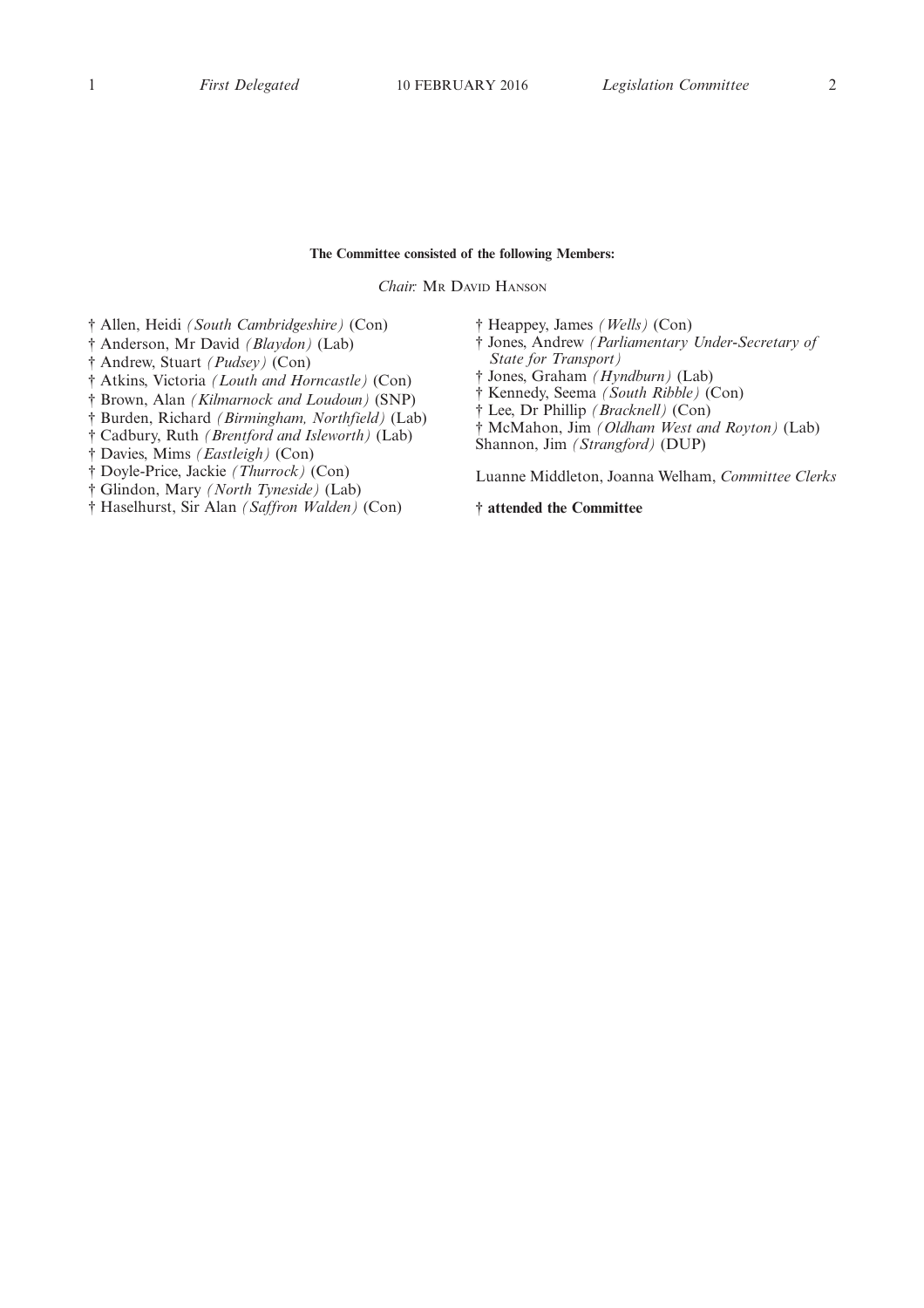#### **The Committee consisted of the following Members:**

*Chair:* MR DAVID HANSON

- † Allen, Heidi *(South Cambridgeshire)* (Con)
- † Anderson, Mr David *(Blaydon)* (Lab)
- † Andrew, Stuart *(Pudsey)* (Con)
- † Atkins, Victoria *(Louth and Horncastle)* (Con)
- † Brown, Alan *(Kilmarnock and Loudoun)* (SNP)
- † Burden, Richard *(Birmingham, Northfield)* (Lab)
- † Cadbury, Ruth *(Brentford and Isleworth)* (Lab)
- † Davies, Mims *(Eastleigh)* (Con)
- † Doyle-Price, Jackie *(Thurrock)* (Con)
- † Glindon, Mary *(North Tyneside)* (Lab)
- † Haselhurst, Sir Alan *(Saffron Walden)* (Con)
- † Heappey, James *(Wells)* (Con)
- † Jones, Andrew *(Parliamentary Under-Secretary of State for Transport)*
- † Jones, Graham *(Hyndburn)* (Lab)
- † Kennedy, Seema *(South Ribble)* (Con)
- † Lee, Dr Phillip *(Bracknell)* (Con)
- † McMahon, Jim *(Oldham West and Royton)* (Lab)
- Shannon, Jim *(Strangford)* (DUP)

Luanne Middleton, Joanna Welham, *Committee Clerks*

**† attended the Committee**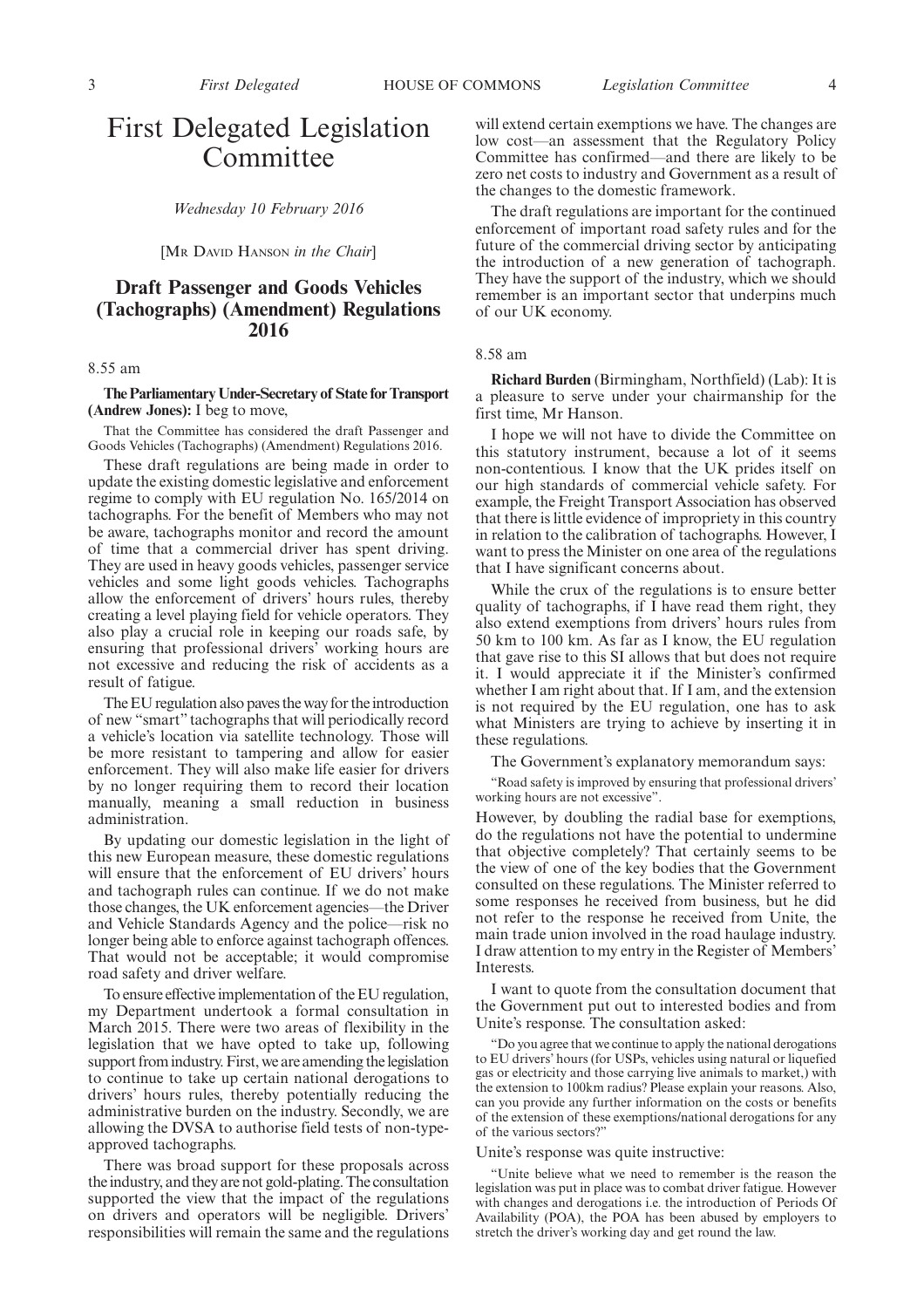### First Delegated Legislation Committee

*Wednesday 10 February 2016*

[MR DAVID HANSON *in the Chair*]

#### **Draft Passenger and Goods Vehicles (Tachographs) (Amendment) Regulations 2016**

#### 8.55 am

**The Parliamentary Under-Secretary of State for Transport (Andrew Jones):** I beg to move,

That the Committee has considered the draft Passenger and Goods Vehicles (Tachographs) (Amendment) Regulations 2016.

These draft regulations are being made in order to update the existing domestic legislative and enforcement regime to comply with EU regulation No. 165/2014 on tachographs. For the benefit of Members who may not be aware, tachographs monitor and record the amount of time that a commercial driver has spent driving. They are used in heavy goods vehicles, passenger service vehicles and some light goods vehicles. Tachographs allow the enforcement of drivers' hours rules, thereby creating a level playing field for vehicle operators. They also play a crucial role in keeping our roads safe, by ensuring that professional drivers' working hours are not excessive and reducing the risk of accidents as a result of fatigue.

The EU regulation also paves the way for the introduction of new "smart" tachographs that will periodically record a vehicle's location via satellite technology. Those will be more resistant to tampering and allow for easier enforcement. They will also make life easier for drivers by no longer requiring them to record their location manually, meaning a small reduction in business administration.

By updating our domestic legislation in the light of this new European measure, these domestic regulations will ensure that the enforcement of EU drivers' hours and tachograph rules can continue. If we do not make those changes, the UK enforcement agencies—the Driver and Vehicle Standards Agency and the police—risk no longer being able to enforce against tachograph offences. That would not be acceptable; it would compromise road safety and driver welfare.

To ensure effective implementation of the EU regulation, my Department undertook a formal consultation in March 2015. There were two areas of flexibility in the legislation that we have opted to take up, following support from industry. First, we are amending the legislation to continue to take up certain national derogations to drivers' hours rules, thereby potentially reducing the administrative burden on the industry. Secondly, we are allowing the DVSA to authorise field tests of non-typeapproved tachographs.

There was broad support for these proposals across the industry, and they are not gold-plating. The consultation supported the view that the impact of the regulations on drivers and operators will be negligible. Drivers' responsibilities will remain the same and the regulations

will extend certain exemptions we have. The changes are low cost—an assessment that the Regulatory Policy Committee has confirmed—and there are likely to be zero net costs to industry and Government as a result of the changes to the domestic framework.

The draft regulations are important for the continued enforcement of important road safety rules and for the future of the commercial driving sector by anticipating the introduction of a new generation of tachograph. They have the support of the industry, which we should remember is an important sector that underpins much of our UK economy.

#### 8.58 am

**Richard Burden** (Birmingham, Northfield) (Lab): It is a pleasure to serve under your chairmanship for the first time, Mr Hanson.

I hope we will not have to divide the Committee on this statutory instrument, because a lot of it seems non-contentious. I know that the UK prides itself on our high standards of commercial vehicle safety. For example, the Freight Transport Association has observed that there is little evidence of impropriety in this country in relation to the calibration of tachographs. However, I want to press the Minister on one area of the regulations that I have significant concerns about.

While the crux of the regulations is to ensure better quality of tachographs, if I have read them right, they also extend exemptions from drivers' hours rules from 50 km to 100 km. As far as I know, the EU regulation that gave rise to this SI allows that but does not require it. I would appreciate it if the Minister's confirmed whether I am right about that. If I am, and the extension is not required by the EU regulation, one has to ask what Ministers are trying to achieve by inserting it in these regulations.

The Government's explanatory memorandum says:

"Road safety is improved by ensuring that professional drivers' working hours are not excessive".

However, by doubling the radial base for exemptions, do the regulations not have the potential to undermine that objective completely? That certainly seems to be the view of one of the key bodies that the Government consulted on these regulations. The Minister referred to some responses he received from business, but he did not refer to the response he received from Unite, the main trade union involved in the road haulage industry. I draw attention to my entry in the Register of Members' Interests.

I want to quote from the consultation document that the Government put out to interested bodies and from Unite's response. The consultation asked:

"Do you agree that we continue to apply the national derogations to EU drivers' hours (for USPs, vehicles using natural or liquefied gas or electricity and those carrying live animals to market,) with the extension to 100km radius? Please explain your reasons. Also, can you provide any further information on the costs or benefits of the extension of these exemptions/national derogations for any of the various sectors?"

#### Unite's response was quite instructive:

"Unite believe what we need to remember is the reason the legislation was put in place was to combat driver fatigue. However with changes and derogations i.e. the introduction of Periods Of Availability (POA), the POA has been abused by employers to stretch the driver's working day and get round the law.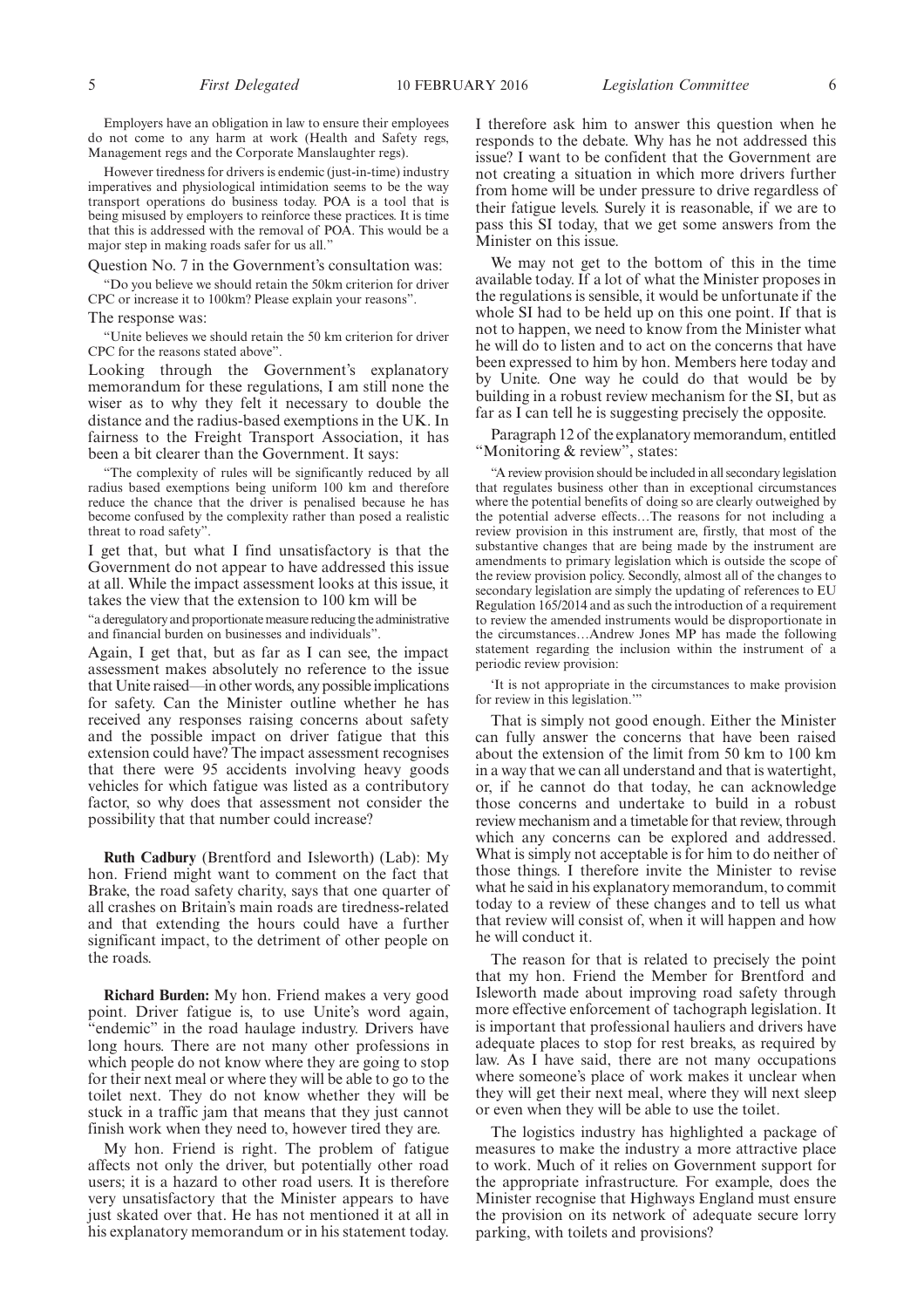Employers have an obligation in law to ensure their employees do not come to any harm at work (Health and Safety regs, Management regs and the Corporate Manslaughter regs).

However tiredness for drivers is endemic (just-in-time) industry imperatives and physiological intimidation seems to be the way transport operations do business today. POA is a tool that is being misused by employers to reinforce these practices. It is time that this is addressed with the removal of POA. This would be a major step in making roads safer for us all."

Question No. 7 in the Government's consultation was:

"Do you believe we should retain the 50km criterion for driver CPC or increase it to 100km? Please explain your reasons".

The response was:

"Unite believes we should retain the 50 km criterion for driver CPC for the reasons stated above".

Looking through the Government's explanatory memorandum for these regulations, I am still none the wiser as to why they felt it necessary to double the distance and the radius-based exemptions in the UK. In fairness to the Freight Transport Association, it has been a bit clearer than the Government. It says:

"The complexity of rules will be significantly reduced by all radius based exemptions being uniform 100 km and therefore reduce the chance that the driver is penalised because he has become confused by the complexity rather than posed a realistic threat to road safety".

I get that, but what I find unsatisfactory is that the Government do not appear to have addressed this issue at all. While the impact assessment looks at this issue, it takes the view that the extension to 100 km will be

"a deregulatory and proportionatemeasure reducing the administrative and financial burden on businesses and individuals".

Again, I get that, but as far as I can see, the impact assessment makes absolutely no reference to the issue that Unite raised—in other words, any possible implications for safety. Can the Minister outline whether he has received any responses raising concerns about safety and the possible impact on driver fatigue that this extension could have? The impact assessment recognises that there were 95 accidents involving heavy goods vehicles for which fatigue was listed as a contributory factor, so why does that assessment not consider the possibility that that number could increase?

**Ruth Cadbury** (Brentford and Isleworth) (Lab): My hon. Friend might want to comment on the fact that Brake, the road safety charity, says that one quarter of all crashes on Britain's main roads are tiredness-related and that extending the hours could have a further significant impact, to the detriment of other people on the roads.

**Richard Burden:** My hon. Friend makes a very good point. Driver fatigue is, to use Unite's word again, 'endemic" in the road haulage industry. Drivers have long hours. There are not many other professions in which people do not know where they are going to stop for their next meal or where they will be able to go to the toilet next. They do not know whether they will be stuck in a traffic jam that means that they just cannot finish work when they need to, however tired they are.

My hon. Friend is right. The problem of fatigue affects not only the driver, but potentially other road users; it is a hazard to other road users. It is therefore very unsatisfactory that the Minister appears to have just skated over that. He has not mentioned it at all in his explanatory memorandum or in his statement today. I therefore ask him to answer this question when he responds to the debate. Why has he not addressed this issue? I want to be confident that the Government are not creating a situation in which more drivers further from home will be under pressure to drive regardless of their fatigue levels. Surely it is reasonable, if we are to pass this SI today, that we get some answers from the Minister on this issue.

We may not get to the bottom of this in the time available today. If a lot of what the Minister proposes in the regulations is sensible, it would be unfortunate if the whole SI had to be held up on this one point. If that is not to happen, we need to know from the Minister what he will do to listen and to act on the concerns that have been expressed to him by hon. Members here today and by Unite. One way he could do that would be by building in a robust review mechanism for the SI, but as far as I can tell he is suggesting precisely the opposite.

Paragraph 12 of the explanatory memorandum, entitled "Monitoring & review", states:

"A review provision should be included in all secondary legislation that regulates business other than in exceptional circumstances where the potential benefits of doing so are clearly outweighed by the potential adverse effects…The reasons for not including a review provision in this instrument are, firstly, that most of the substantive changes that are being made by the instrument are amendments to primary legislation which is outside the scope of the review provision policy. Secondly, almost all of the changes to secondary legislation are simply the updating of references to EU Regulation 165/2014 and as such the introduction of a requirement to review the amended instruments would be disproportionate in the circumstances…Andrew Jones MP has made the following statement regarding the inclusion within the instrument of a periodic review provision:

'It is not appropriate in the circumstances to make provision for review in this legislation.'

That is simply not good enough. Either the Minister can fully answer the concerns that have been raised about the extension of the limit from 50 km to 100 km in a way that we can all understand and that is watertight, or, if he cannot do that today, he can acknowledge those concerns and undertake to build in a robust review mechanism and a timetable for that review, through which any concerns can be explored and addressed. What is simply not acceptable is for him to do neither of those things. I therefore invite the Minister to revise what he said in his explanatory memorandum, to commit today to a review of these changes and to tell us what that review will consist of, when it will happen and how he will conduct it.

The reason for that is related to precisely the point that my hon. Friend the Member for Brentford and Isleworth made about improving road safety through more effective enforcement of tachograph legislation. It is important that professional hauliers and drivers have adequate places to stop for rest breaks, as required by law. As I have said, there are not many occupations where someone's place of work makes it unclear when they will get their next meal, where they will next sleep or even when they will be able to use the toilet.

The logistics industry has highlighted a package of measures to make the industry a more attractive place to work. Much of it relies on Government support for the appropriate infrastructure. For example, does the Minister recognise that Highways England must ensure the provision on its network of adequate secure lorry parking, with toilets and provisions?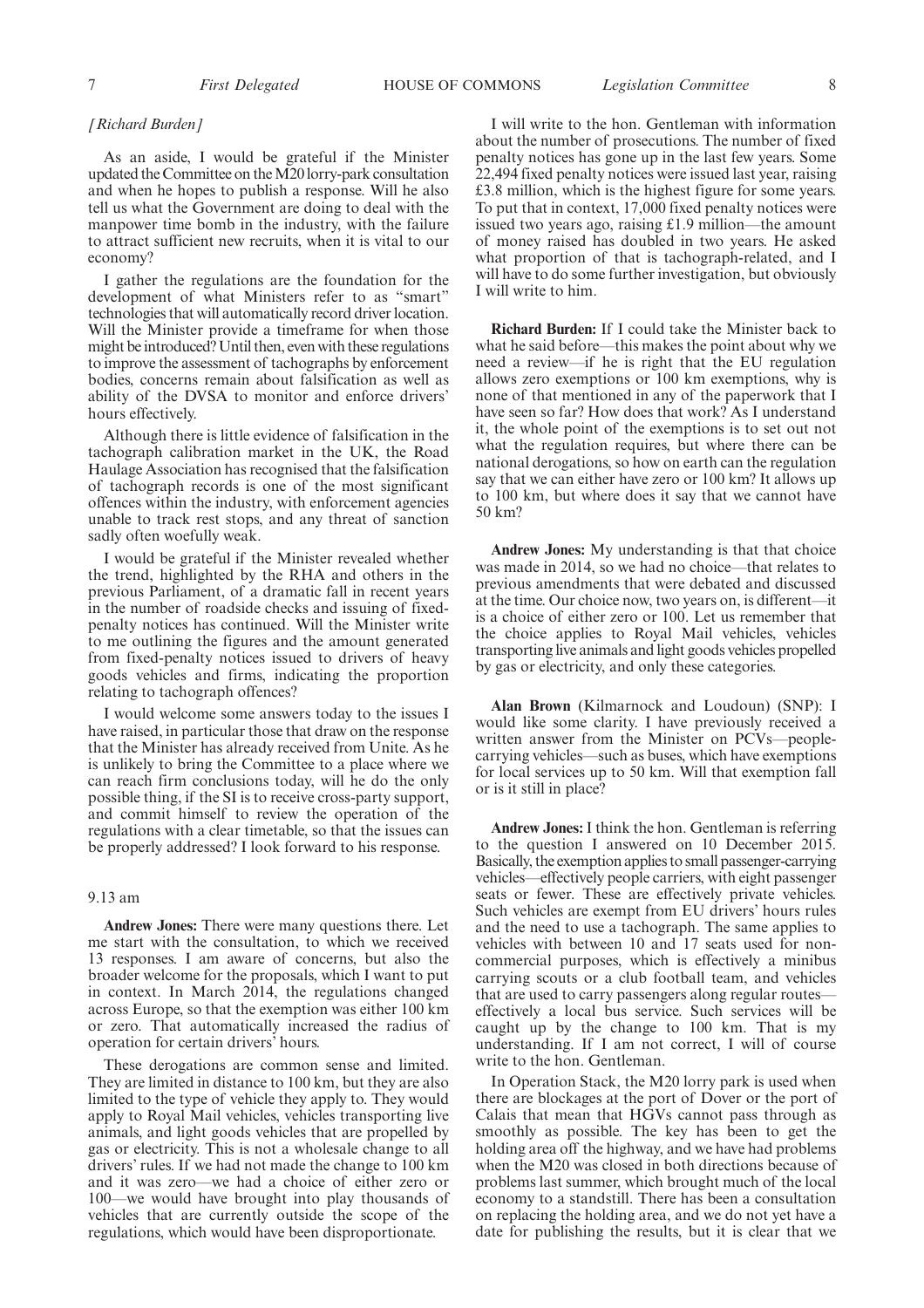7 *First Delegated Legislation Committee* HOUSE OF COMMONS 8

#### *[Richard Burden]*

As an aside, I would be grateful if the Minister updated the Committee on theM20 lorry-park consultation and when he hopes to publish a response. Will he also tell us what the Government are doing to deal with the manpower time bomb in the industry, with the failure to attract sufficient new recruits, when it is vital to our economy?

I gather the regulations are the foundation for the development of what Ministers refer to as "smart" technologies that will automatically record driver location. Will the Minister provide a timeframe for when those might be introduced? Until then, even with these regulations to improve the assessment of tachographs by enforcement bodies, concerns remain about falsification as well as ability of the DVSA to monitor and enforce drivers' hours effectively.

Although there is little evidence of falsification in the tachograph calibration market in the UK, the Road Haulage Association has recognised that the falsification of tachograph records is one of the most significant offences within the industry, with enforcement agencies unable to track rest stops, and any threat of sanction sadly often woefully weak.

I would be grateful if the Minister revealed whether the trend, highlighted by the RHA and others in the previous Parliament, of a dramatic fall in recent years in the number of roadside checks and issuing of fixedpenalty notices has continued. Will the Minister write to me outlining the figures and the amount generated from fixed-penalty notices issued to drivers of heavy goods vehicles and firms, indicating the proportion relating to tachograph offences?

I would welcome some answers today to the issues I have raised, in particular those that draw on the response that the Minister has already received from Unite. As he is unlikely to bring the Committee to a place where we can reach firm conclusions today, will he do the only possible thing, if the SI is to receive cross-party support, and commit himself to review the operation of the regulations with a clear timetable, so that the issues can be properly addressed? I look forward to his response.

#### 9.13 am

**Andrew Jones:** There were many questions there. Let me start with the consultation, to which we received 13 responses. I am aware of concerns, but also the broader welcome for the proposals, which I want to put in context. In March 2014, the regulations changed across Europe, so that the exemption was either 100 km or zero. That automatically increased the radius of operation for certain drivers' hours.

These derogations are common sense and limited. They are limited in distance to 100 km, but they are also limited to the type of vehicle they apply to. They would apply to Royal Mail vehicles, vehicles transporting live animals, and light goods vehicles that are propelled by gas or electricity. This is not a wholesale change to all drivers' rules. If we had not made the change to 100 km and it was zero—we had a choice of either zero or 100—we would have brought into play thousands of vehicles that are currently outside the scope of the regulations, which would have been disproportionate.

I will write to the hon. Gentleman with information about the number of prosecutions. The number of fixed penalty notices has gone up in the last few years. Some 22,494 fixed penalty notices were issued last year, raising £3.8 million, which is the highest figure for some years. To put that in context, 17,000 fixed penalty notices were issued two years ago, raising £1.9 million—the amount of money raised has doubled in two years. He asked what proportion of that is tachograph-related, and I will have to do some further investigation, but obviously I will write to him.

**Richard Burden:** If I could take the Minister back to what he said before—this makes the point about why we need a review—if he is right that the EU regulation allows zero exemptions or 100 km exemptions, why is none of that mentioned in any of the paperwork that I have seen so far? How does that work? As I understand it, the whole point of the exemptions is to set out not what the regulation requires, but where there can be national derogations, so how on earth can the regulation say that we can either have zero or 100 km? It allows up to 100 km, but where does it say that we cannot have 50 km?

**Andrew Jones:** My understanding is that that choice was made in 2014, so we had no choice—that relates to previous amendments that were debated and discussed at the time. Our choice now, two years on, is different—it is a choice of either zero or 100. Let us remember that the choice applies to Royal Mail vehicles, vehicles transporting live animals and light goods vehicles propelled by gas or electricity, and only these categories.

**Alan Brown** (Kilmarnock and Loudoun) (SNP): I would like some clarity. I have previously received a written answer from the Minister on PCVs—peoplecarrying vehicles—such as buses, which have exemptions for local services up to 50 km. Will that exemption fall or is it still in place?

**Andrew Jones:** I think the hon. Gentleman is referring to the question I answered on 10 December 2015. Basically, the exemption applies to small passenger-carrying vehicles—effectively people carriers, with eight passenger seats or fewer. These are effectively private vehicles. Such vehicles are exempt from EU drivers' hours rules and the need to use a tachograph. The same applies to vehicles with between 10 and 17 seats used for noncommercial purposes, which is effectively a minibus carrying scouts or a club football team, and vehicles that are used to carry passengers along regular routes effectively a local bus service. Such services will be caught up by the change to 100 km. That is my understanding. If I am not correct, I will of course write to the hon. Gentleman.

In Operation Stack, the M20 lorry park is used when there are blockages at the port of Dover or the port of Calais that mean that HGVs cannot pass through as smoothly as possible. The key has been to get the holding area off the highway, and we have had problems when the M20 was closed in both directions because of problems last summer, which brought much of the local economy to a standstill. There has been a consultation on replacing the holding area, and we do not yet have a date for publishing the results, but it is clear that we